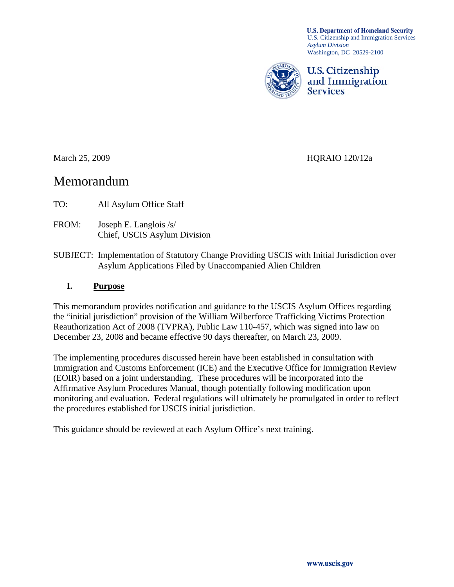**U.S. Department of Homeland Security** U.S. Citizenship and Immigration Services *Asylum Division*  Washington, DC 20529-2100



**U.S. Citizenship** and Immigration **Services** 

March 25, 2009 HQRAIO 120/12a

# Memorandum

TO: All Asylum Office Staff

- FROM: Joseph E. Langlois /s/ Chief, USCIS Asylum Division
- SUBJECT: Implementation of Statutory Change Providing USCIS with Initial Jurisdiction over Asylum Applications Filed by Unaccompanied Alien Children

#### **I. Purpose**

This memorandum provides notification and guidance to the USCIS Asylum Offices regarding the "initial jurisdiction" provision of the William Wilberforce Trafficking Victims Protection Reauthorization Act of 2008 (TVPRA), Public Law 110-457, which was signed into law on December 23, 2008 and became effective 90 days thereafter, on March 23, 2009.

The implementing procedures discussed herein have been established in consultation with Immigration and Customs Enforcement (ICE) and the Executive Office for Immigration Review (EOIR) based on a joint understanding. These procedures will be incorporated into the Affirmative Asylum Procedures Manual, though potentially following modification upon monitoring and evaluation. Federal regulations will ultimately be promulgated in order to reflect the procedures established for USCIS initial jurisdiction.

This guidance should be reviewed at each Asylum Office's next training.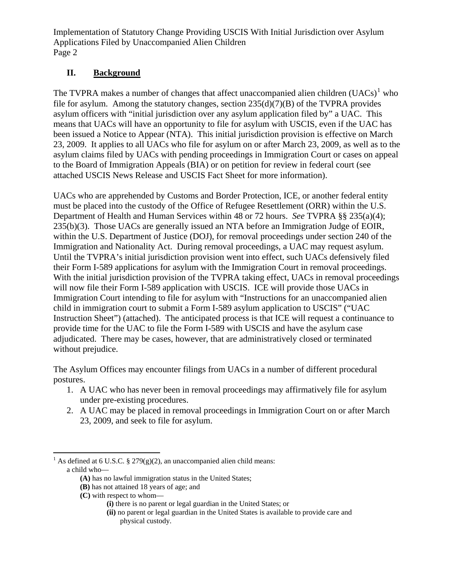# **II. Background**

The TVPRA makes a number of changes that affect unaccompanied alien children  $(UACs)^{1}$  $(UACs)^{1}$  $(UACs)^{1}$  who file for asylum. Among the statutory changes, section  $235(d)(7)(B)$  of the TVPRA provides asylum officers with "initial jurisdiction over any asylum application filed by" a UAC. This means that UACs will have an opportunity to file for asylum with USCIS, even if the UAC has been issued a Notice to Appear (NTA). This initial jurisdiction provision is effective on March 23, 2009. It applies to all UACs who file for asylum on or after March 23, 2009, as well as to the asylum claims filed by UACs with pending proceedings in Immigration Court or cases on appeal to the Board of Immigration Appeals (BIA) or on petition for review in federal court (see attached USCIS News Release and USCIS Fact Sheet for more information).

UACs who are apprehended by Customs and Border Protection, ICE, or another federal entity must be placed into the custody of the Office of Refugee Resettlement (ORR) within the U.S. Department of Health and Human Services within 48 or 72 hours. *See* TVPRA §§ 235(a)(4); 235(b)(3). Those UACs are generally issued an NTA before an Immigration Judge of EOIR, within the U.S. Department of Justice (DOJ), for removal proceedings under section 240 of the Immigration and Nationality Act. During removal proceedings, a UAC may request asylum. Until the TVPRA's initial jurisdiction provision went into effect, such UACs defensively filed their Form I-589 applications for asylum with the Immigration Court in removal proceedings. With the initial jurisdiction provision of the TVPRA taking effect, UACs in removal proceedings will now file their Form I-589 application with USCIS. ICE will provide those UACs in Immigration Court intending to file for asylum with "Instructions for an unaccompanied alien child in immigration court to submit a Form I-589 asylum application to USCIS" ("UAC Instruction Sheet") (attached). The anticipated process is that ICE will request a continuance to provide time for the UAC to file the Form I-589 with USCIS and have the asylum case adjudicated. There may be cases, however, that are administratively closed or terminated without prejudice.

The Asylum Offices may encounter filings from UACs in a number of different procedural postures.

- 1. A UAC who has never been in removal proceedings may affirmatively file for asylum under pre-existing procedures.
- 2. A UAC may be placed in removal proceedings in Immigration Court on or after March 23, 2009, and seek to file for asylum.

**(C)** with respect to whom—

<span id="page-1-0"></span> $\overline{a}$ <sup>1</sup> As defined at 6 U.S.C. § 279(g)(2), an unaccompanied alien child means: a child who—

**<sup>(</sup>A)** has no lawful immigration status in the United States;

**<sup>(</sup>B)** has not attained 18 years of age; and

**<sup>(</sup>i)** there is no parent or legal guardian in the United States; or

**<sup>(</sup>ii)** no parent or legal guardian in the United States is available to provide care and physical custody.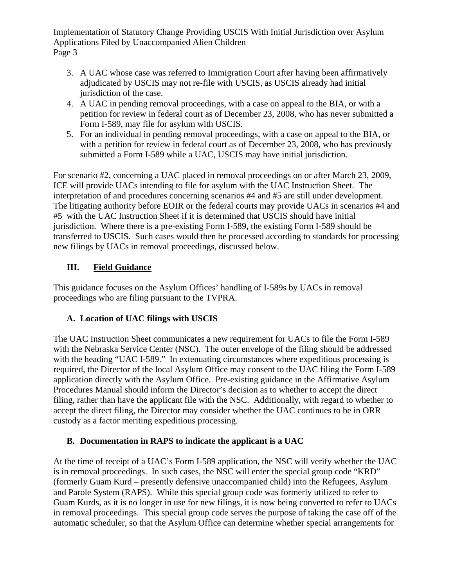- 3. A UAC whose case was referred to Immigration Court after having been affirmatively adjudicated by USCIS may not re-file with USCIS, as USCIS already had initial jurisdiction of the case.
- 4. A UAC in pending removal proceedings, with a case on appeal to the BIA, or with a petition for review in federal court as of December 23, 2008, who has never submitted a Form I-589, may file for asylum with USCIS.
- 5. For an individual in pending removal proceedings, with a case on appeal to the BIA, or with a petition for review in federal court as of December 23, 2008, who has previously submitted a Form I-589 while a UAC, USCIS may have initial jurisdiction.

For scenario #2, concerning a UAC placed in removal proceedings on or after March 23, 2009, ICE will provide UACs intending to file for asylum with the UAC Instruction Sheet. The interpretation of and procedures concerning scenarios #4 and #5 are still under development. The litigating authority before EOIR or the federal courts may provide UACs in scenarios #4 and #5 with the UAC Instruction Sheet if it is determined that USCIS should have initial jurisdiction. Where there is a pre-existing Form I-589, the existing Form I-589 should be transferred to USCIS. Such cases would then be processed according to standards for processing new filings by UACs in removal proceedings, discussed below.

# **III. Field Guidance**

This guidance focuses on the Asylum Offices' handling of I-589s by UACs in removal proceedings who are filing pursuant to the TVPRA.

## **A. Location of UAC filings with USCIS**

The UAC Instruction Sheet communicates a new requirement for UACs to file the Form I-589 with the Nebraska Service Center (NSC). The outer envelope of the filing should be addressed with the heading "UAC I-589." In extenuating circumstances where expeditious processing is required, the Director of the local Asylum Office may consent to the UAC filing the Form I-589 application directly with the Asylum Office. Pre-existing guidance in the Affirmative Asylum Procedures Manual should inform the Director's decision as to whether to accept the direct filing, rather than have the applicant file with the NSC. Additionally, with regard to whether to accept the direct filing, the Director may consider whether the UAC continues to be in ORR custody as a factor meriting expeditious processing.

## **B. Documentation in RAPS to indicate the applicant is a UAC**

At the time of receipt of a UAC's Form I-589 application, the NSC will verify whether the UAC is in removal proceedings. In such cases, the NSC will enter the special group code "KRD" (formerly Guam Kurd – presently defensive unaccompanied child) into the Refugees, Asylum and Parole System (RAPS). While this special group code was formerly utilized to refer to Guam Kurds, as it is no longer in use for new filings, it is now being converted to refer to UACs in removal proceedings. This special group code serves the purpose of taking the case off of the automatic scheduler, so that the Asylum Office can determine whether special arrangements for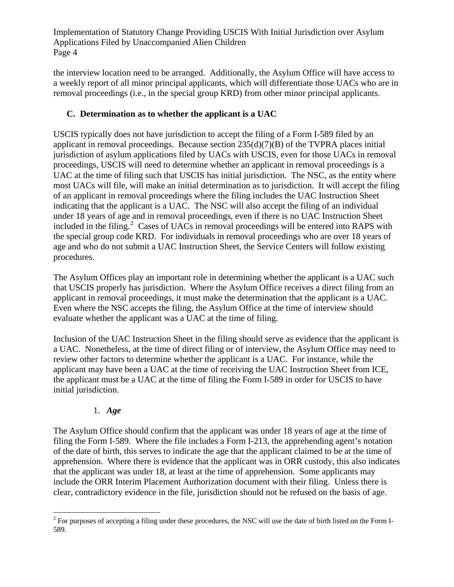the interview location need to be arranged. Additionally, the Asylum Office will have access to a weekly report of all minor principal applicants, which will differentiate those UACs who are in removal proceedings (i.e., in the special group KRD) from other minor principal applicants.

# **C. Determination as to whether the applicant is a UAC**

USCIS typically does not have jurisdiction to accept the filing of a Form I-589 filed by an applicant in removal proceedings. Because section 235(d)(7)(B) of the TVPRA places initial jurisdiction of asylum applications filed by UACs with USCIS, even for those UACs in removal proceedings, USCIS will need to determine whether an applicant in removal proceedings is a UAC at the time of filing such that USCIS has initial jurisdiction. The NSC, as the entity where most UACs will file, will make an initial determination as to jurisdiction. It will accept the filing of an applicant in removal proceedings where the filing includes the UAC Instruction Sheet indicating that the applicant is a UAC. The NSC will also accept the filing of an individual under 18 years of age and in removal proceedings, even if there is no UAC Instruction Sheet included in the filing.<sup>[2](#page-3-0)</sup> Cases of UACs in removal proceedings will be entered into RAPS with the special group code KRD. For individuals in removal proceedings who are over 18 years of age and who do not submit a UAC Instruction Sheet, the Service Centers will follow existing procedures.

The Asylum Offices play an important role in determining whether the applicant is a UAC such that USCIS properly has jurisdiction. Where the Asylum Office receives a direct filing from an applicant in removal proceedings, it must make the determination that the applicant is a UAC. Even where the NSC accepts the filing, the Asylum Office at the time of interview should evaluate whether the applicant was a UAC at the time of filing.

Inclusion of the UAC Instruction Sheet in the filing should serve as evidence that the applicant is a UAC. Nonetheless, at the time of direct filing or of interview, the Asylum Office may need to review other factors to determine whether the applicant is a UAC. For instance, while the applicant may have been a UAC at the time of receiving the UAC Instruction Sheet from ICE, the applicant must be a UAC at the time of filing the Form I-589 in order for USCIS to have initial jurisdiction.

#### 1. *Age*

The Asylum Office should confirm that the applicant was under 18 years of age at the time of filing the Form I-589. Where the file includes a Form I-213, the apprehending agent's notation of the date of birth, this serves to indicate the age that the applicant claimed to be at the time of apprehension. Where there is evidence that the applicant was in ORR custody, this also indicates that the applicant was under 18, at least at the time of apprehension. Some applicants may include the ORR Interim Placement Authorization document with their filing. Unless there is clear, contradictory evidence in the file, jurisdiction should not be refused on the basis of age.

<span id="page-3-0"></span><sup>&</sup>lt;sup>2</sup> For purposes of accepting a filing under these procedures, the NSC will use the date of birth listed on the Form I-589.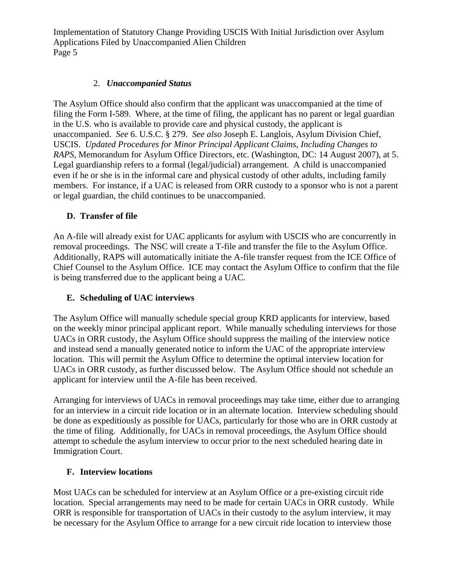#### 2. *Unaccompanied Status*

The Asylum Office should also confirm that the applicant was unaccompanied at the time of filing the Form I-589. Where, at the time of filing, the applicant has no parent or legal guardian in the U.S. who is available to provide care and physical custody, the applicant is unaccompanied. *See* 6. U.S.C. § 279. *See also* Joseph E. Langlois, Asylum Division Chief, USCIS. *Updated Procedures for Minor Principal Applicant Claims, Including Changes to RAPS*, Memorandum for Asylum Office Directors, etc. (Washington, DC: 14 August 2007), at 5. Legal guardianship refers to a formal (legal/judicial) arrangement. A child is unaccompanied even if he or she is in the informal care and physical custody of other adults, including family members. For instance, if a UAC is released from ORR custody to a sponsor who is not a parent or legal guardian, the child continues to be unaccompanied.

#### **D. Transfer of file**

An A-file will already exist for UAC applicants for asylum with USCIS who are concurrently in removal proceedings. The NSC will create a T-file and transfer the file to the Asylum Office. Additionally, RAPS will automatically initiate the A-file transfer request from the ICE Office of Chief Counsel to the Asylum Office. ICE may contact the Asylum Office to confirm that the file is being transferred due to the applicant being a UAC.

#### **E. Scheduling of UAC interviews**

The Asylum Office will manually schedule special group KRD applicants for interview, based on the weekly minor principal applicant report. While manually scheduling interviews for those UACs in ORR custody, the Asylum Office should suppress the mailing of the interview notice and instead send a manually generated notice to inform the UAC of the appropriate interview location. This will permit the Asylum Office to determine the optimal interview location for UACs in ORR custody, as further discussed below. The Asylum Office should not schedule an applicant for interview until the A-file has been received.

Arranging for interviews of UACs in removal proceedings may take time, either due to arranging for an interview in a circuit ride location or in an alternate location. Interview scheduling should be done as expeditiously as possible for UACs, particularly for those who are in ORR custody at the time of filing. Additionally, for UACs in removal proceedings, the Asylum Office should attempt to schedule the asylum interview to occur prior to the next scheduled hearing date in Immigration Court.

#### **F. Interview locations**

Most UACs can be scheduled for interview at an Asylum Office or a pre-existing circuit ride location. Special arrangements may need to be made for certain UACs in ORR custody. While ORR is responsible for transportation of UACs in their custody to the asylum interview, it may be necessary for the Asylum Office to arrange for a new circuit ride location to interview those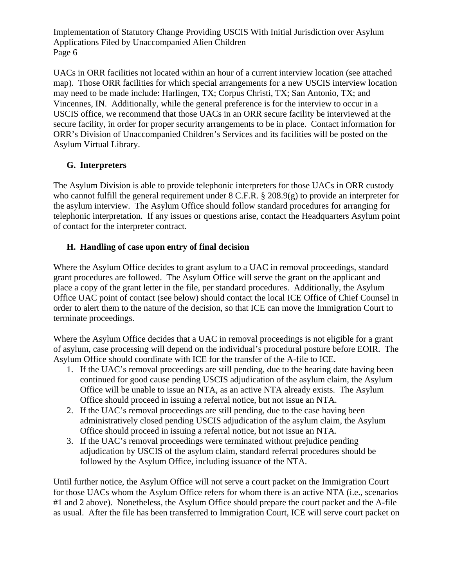UACs in ORR facilities not located within an hour of a current interview location (see attached map). Those ORR facilities for which special arrangements for a new USCIS interview location may need to be made include: Harlingen, TX; Corpus Christi, TX; San Antonio, TX; and Vincennes, IN. Additionally, while the general preference is for the interview to occur in a USCIS office, we recommend that those UACs in an ORR secure facility be interviewed at the secure facility, in order for proper security arrangements to be in place. Contact information for ORR's Division of Unaccompanied Children's Services and its facilities will be posted on the Asylum Virtual Library.

## **G. Interpreters**

The Asylum Division is able to provide telephonic interpreters for those UACs in ORR custody who cannot fulfill the general requirement under 8 C.F.R. § 208.9(g) to provide an interpreter for the asylum interview. The Asylum Office should follow standard procedures for arranging for telephonic interpretation. If any issues or questions arise, contact the Headquarters Asylum point of contact for the interpreter contract.

## **H. Handling of case upon entry of final decision**

Where the Asylum Office decides to grant asylum to a UAC in removal proceedings, standard grant procedures are followed. The Asylum Office will serve the grant on the applicant and place a copy of the grant letter in the file, per standard procedures. Additionally, the Asylum Office UAC point of contact (see below) should contact the local ICE Office of Chief Counsel in order to alert them to the nature of the decision, so that ICE can move the Immigration Court to terminate proceedings.

Where the Asylum Office decides that a UAC in removal proceedings is not eligible for a grant of asylum, case processing will depend on the individual's procedural posture before EOIR. The Asylum Office should coordinate with ICE for the transfer of the A-file to ICE.

- 1. If the UAC's removal proceedings are still pending, due to the hearing date having been continued for good cause pending USCIS adjudication of the asylum claim, the Asylum Office will be unable to issue an NTA, as an active NTA already exists. The Asylum Office should proceed in issuing a referral notice, but not issue an NTA.
- 2. If the UAC's removal proceedings are still pending, due to the case having been administratively closed pending USCIS adjudication of the asylum claim, the Asylum Office should proceed in issuing a referral notice, but not issue an NTA.
- 3. If the UAC's removal proceedings were terminated without prejudice pending adjudication by USCIS of the asylum claim, standard referral procedures should be followed by the Asylum Office, including issuance of the NTA.

Until further notice, the Asylum Office will not serve a court packet on the Immigration Court for those UACs whom the Asylum Office refers for whom there is an active NTA (i.e., scenarios #1 and 2 above). Nonetheless, the Asylum Office should prepare the court packet and the A-file as usual. After the file has been transferred to Immigration Court, ICE will serve court packet on